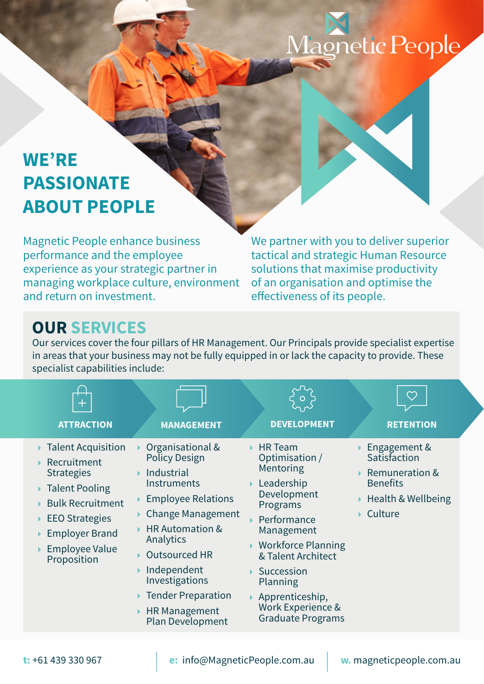# Magnetic People

### **WE'RE PASSIONATE ABOUT PEOPLE**

Magnetic People enhance business performance and the employee experience as your strategic partner in managing workplace culture, environment and return on investment.

We partner with you to deliver superior tactical and strategic Human Resource solutions that maximise productivity of an organisation and optimise the effectiveness of its people.

#### **OUR SERVICES**

Our services cover the four pillars of HR Management. Our Principals provide specialist expertise in areas that your business may not be fully equipped in or lack the capacity to provide. These specialist capabilities include:

| <b>ATTRACTION</b>                                                                                                                                                                               | <b>MANAGEMENT</b>                                                                                                                                                                                                                                                                                                  | <b>DEVELOPMENT</b>                                                                                                                                                                                                                                                               | <b>RETENTION</b>                                                                                              |
|-------------------------------------------------------------------------------------------------------------------------------------------------------------------------------------------------|--------------------------------------------------------------------------------------------------------------------------------------------------------------------------------------------------------------------------------------------------------------------------------------------------------------------|----------------------------------------------------------------------------------------------------------------------------------------------------------------------------------------------------------------------------------------------------------------------------------|---------------------------------------------------------------------------------------------------------------|
| ▶ Talent Acquisition<br>Recruitment<br><b>Strategies</b><br>▶ Talent Pooling<br><b>Bulk Recruitment</b><br>$\triangleright$ EEO Strategies<br>▶ Employer Brand<br>Employee Value<br>Proposition | Organisational &<br><b>Policy Design</b><br>Industrial<br>Instruments<br><b>Employee Relations</b><br><b>Change Management</b><br><b>HR Automation &amp;</b><br>Analytics<br><b>Outsourced HR</b><br>Independent<br>Investigations<br><b>Tender Preparation</b><br><b>HR Management</b><br><b>Plan Development</b> | <b>HR</b> Team<br>Optimisation /<br>Mentoring<br>▶ Leadership<br>Development<br>Programs<br>Performance<br>Management<br>$\triangleright$ Workforce Planning<br>& Talent Architect<br>Succession<br>Planning<br>Apprenticeship,<br>Work Experience &<br><b>Graduate Programs</b> | Engagement &<br>Satisfaction<br><b>Remuneration &amp;</b><br><b>Benefits</b><br>Health & Wellbeing<br>Culture |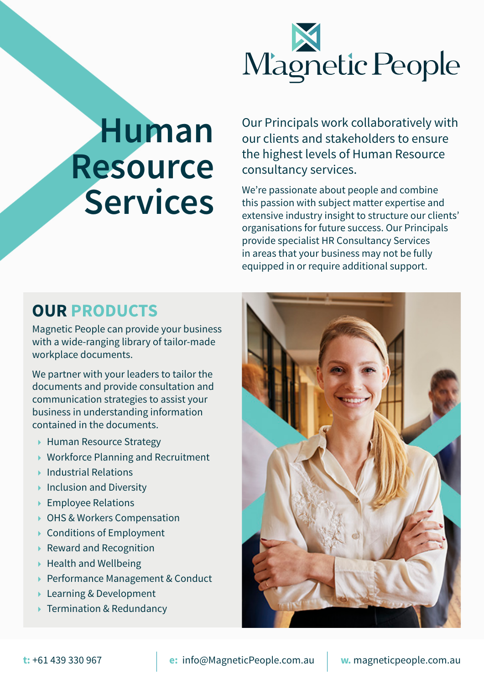

## **Human Resource Services**

Our Principals work collaboratively with our clients and stakeholders to ensure the highest levels of Human Resource consultancy services.

We're passionate about people and combine this passion with subject matter expertise and extensive industry insight to structure our clients' organisations for future success. Our Principals provide specialist HR Consultancy Services in areas that your business may not be fully equipped in or require additional support.

#### **OUR PRODUCTS**

Magnetic People can provide your business with a wide-ranging library of tailor-made workplace documents.

We partner with your leaders to tailor the documents and provide consultation and communication strategies to assist your business in understanding information contained in the documents.

- ▶ Human Resource Strategy
- ▶ Workforce Planning and Recruitment
- $\blacktriangleright$  Industrial Relations
- $\blacktriangleright$  Inclusion and Diversity
- ▶ Employee Relations
- ▶ OHS & Workers Compensation
- $\triangleright$  Conditions of Employment
- Reward and Recognition
- $\blacktriangleright$  Health and Wellbeing
- ▶ Performance Management & Conduct
- **Learning & Development**
- ▶ Termination & Redundancy

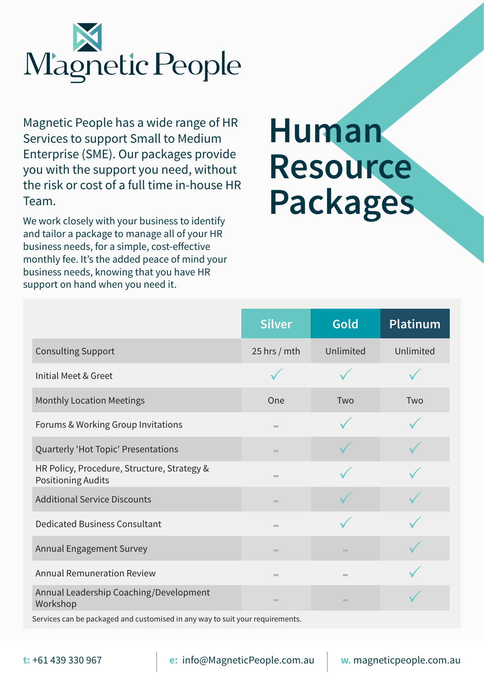

Magnetic People has a wide range of HR Services to support Small to Medium Enterprise (SME). Our packages provide you with the support you need, without the risk or cost of a full time in-house HR Team.

We work closely with your business to identify and tailor a package to manage all of your HR business needs, for a simple, cost-effective monthly fee. It's the added peace of mind your business needs, knowing that you have HR support on hand when you need it.

### **Human Resource Packages**

|                                                                          | <b>Silver</b>  | Gold       | <b>Platinum</b> |
|--------------------------------------------------------------------------|----------------|------------|-----------------|
| <b>Consulting Support</b>                                                | 25 hrs $/$ mth | Unlimited  | Unlimited       |
| Initial Meet & Greet                                                     |                |            |                 |
| <b>Monthly Location Meetings</b>                                         | One            | Two        | Two             |
| Forums & Working Group Invitations                                       | <b>COL</b>     |            |                 |
| Quarterly 'Hot Topic' Presentations                                      | <b>COL</b>     |            |                 |
| HR Policy, Procedure, Structure, Strategy &<br><b>Positioning Audits</b> | <b>COL</b>     |            |                 |
| <b>Additional Service Discounts</b>                                      | $\sim$         |            |                 |
| <b>Dedicated Business Consultant</b>                                     | <b>COL</b>     |            |                 |
| <b>Annual Engagement Survey</b>                                          | <b>COL</b>     | <b>COL</b> |                 |
| <b>Annual Remuneration Review</b>                                        | $\sim$         | $\equiv$   |                 |
| Annual Leadership Coaching/Development<br>Workshop                       | <b>COL</b>     | <b>COL</b> |                 |

Services can be packaged and customised in any way to suit your requirements.